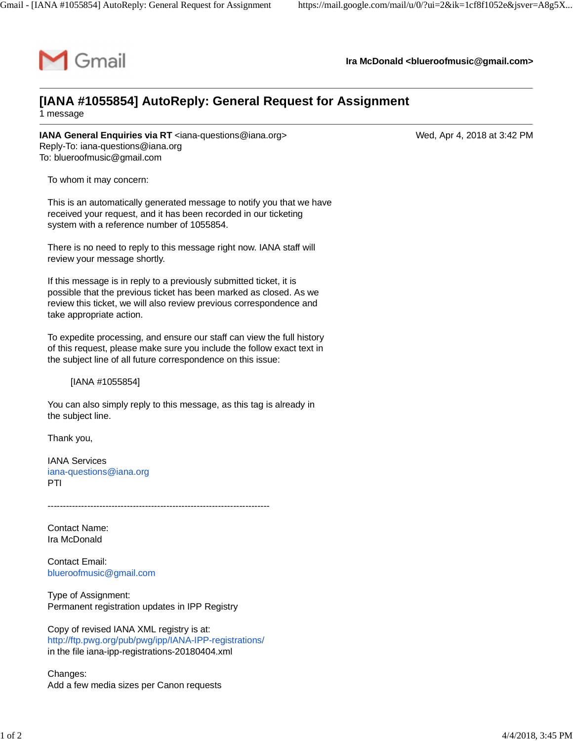

**Ira McDonald [<blueroofmusic@gmail.com](mailto:blueroofmusic@gmail.com)>**

## **[IANA #1055854] AutoReply: General Request for Assignment**

1 message

**IANA General Enquiries via RT** [<iana-questions@iana.org>](mailto:iana-questions@iana.org) Wed, Apr 4, 2018 at 3:42 PM Reply-To: [iana-questions@iana.org](mailto:iana-questions@iana.org) To: [blueroofmusic@gmail.com](mailto:blueroofmusic@gmail.com)

To whom it may concern:

This is an automatically generated message to notify you that we have received your request, and it has been recorded in our ticketing system with a reference number of 1055854.

There is no need to reply to this message right now. IANA staff will review your message shortly.

If this message is in reply to a previously submitted ticket, it is possible that the previous ticket has been marked as closed. As we review this ticket, we will also review previous correspondence and take appropriate action.

To expedite processing, and ensure our staff can view the full history of this request, please make sure you include the follow exact text in the subject line of all future correspondence on this issue:

[IANA #1055854]

You can also simply reply to this message, as this tag is already in the subject line.

Thank you,

IANA Services [iana-questions@iana.org](mailto:iana-questions@iana.org) PTI

Contact Name: Ira McDonald

Contact Email: [blueroofmusic@gmail.com](mailto:blueroofmusic@gmail.com)

Type of Assignment: Permanent registration updates in IPP Registry

Copy of revised IANA XML registry is at: <http://ftp.pwg.org/pub/pwg/ipp/IANA-IPP-registrations/> in the file iana-ipp-registrations-20180404.xml

-------------------------------------------------------------------------

Changes: Add a few media sizes per Canon requests